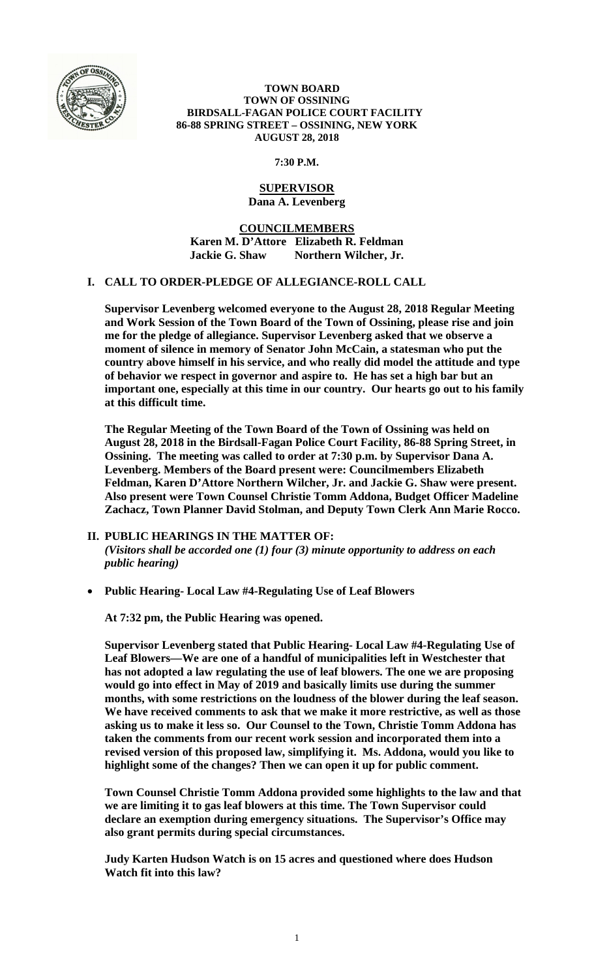

#### **TOWN BOARD TOWN OF OSSINING BIRDSALL-FAGAN POLICE COURT FACILITY 86-88 SPRING STREET – OSSINING, NEW YORK AUGUST 28, 2018**

**7:30 P.M.** 

# **SUPERVISOR Dana A. Levenberg**

**COUNCILMEMBERS Karen M. D'Attore Elizabeth R. Feldman Jackie G. Shaw Northern Wilcher, Jr.** 

# **I. CALL TO ORDER-PLEDGE OF ALLEGIANCE-ROLL CALL**

**Supervisor Levenberg welcomed everyone to the August 28, 2018 Regular Meeting and Work Session of the Town Board of the Town of Ossining, please rise and join me for the pledge of allegiance. Supervisor Levenberg asked that we observe a moment of silence in memory of Senator John McCain, a statesman who put the country above himself in his service, and who really did model the attitude and type of behavior we respect in governor and aspire to. He has set a high bar but an important one, especially at this time in our country. Our hearts go out to his family at this difficult time.** 

**The Regular Meeting of the Town Board of the Town of Ossining was held on August 28, 2018 in the Birdsall-Fagan Police Court Facility, 86-88 Spring Street, in Ossining. The meeting was called to order at 7:30 p.m. by Supervisor Dana A. Levenberg. Members of the Board present were: Councilmembers Elizabeth Feldman, Karen D'Attore Northern Wilcher, Jr. and Jackie G. Shaw were present. Also present were Town Counsel Christie Tomm Addona, Budget Officer Madeline Zachacz, Town Planner David Stolman, and Deputy Town Clerk Ann Marie Rocco.** 

- **II. PUBLIC HEARINGS IN THE MATTER OF:**  *(Visitors shall be accorded one (1) four (3) minute opportunity to address on each public hearing)*
- **Public Hearing- Local Law #4-Regulating Use of Leaf Blowers**

**At 7:32 pm, the Public Hearing was opened.** 

**Supervisor Levenberg stated that Public Hearing- Local Law #4-Regulating Use of Leaf Blowers—We are one of a handful of municipalities left in Westchester that has not adopted a law regulating the use of leaf blowers. The one we are proposing would go into effect in May of 2019 and basically limits use during the summer months, with some restrictions on the loudness of the blower during the leaf season. We have received comments to ask that we make it more restrictive, as well as those asking us to make it less so. Our Counsel to the Town, Christie Tomm Addona has taken the comments from our recent work session and incorporated them into a revised version of this proposed law, simplifying it. Ms. Addona, would you like to highlight some of the changes? Then we can open it up for public comment.** 

**Town Counsel Christie Tomm Addona provided some highlights to the law and that we are limiting it to gas leaf blowers at this time. The Town Supervisor could declare an exemption during emergency situations. The Supervisor's Office may also grant permits during special circumstances.** 

**Judy Karten Hudson Watch is on 15 acres and questioned where does Hudson Watch fit into this law?**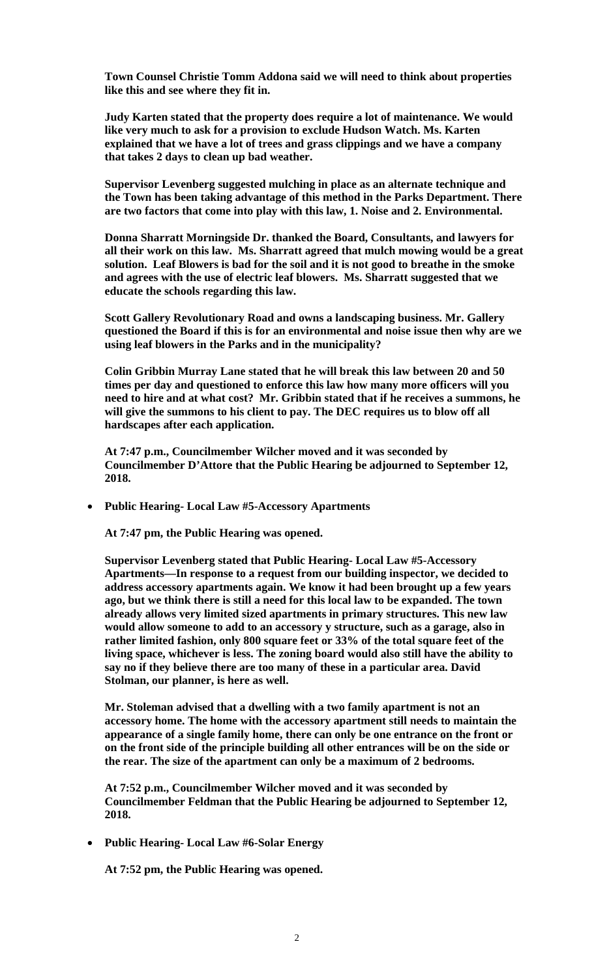**Town Counsel Christie Tomm Addona said we will need to think about properties like this and see where they fit in.** 

**Judy Karten stated that the property does require a lot of maintenance. We would like very much to ask for a provision to exclude Hudson Watch. Ms. Karten explained that we have a lot of trees and grass clippings and we have a company that takes 2 days to clean up bad weather.** 

**Supervisor Levenberg suggested mulching in place as an alternate technique and the Town has been taking advantage of this method in the Parks Department. There are two factors that come into play with this law, 1. Noise and 2. Environmental.** 

**Donna Sharratt Morningside Dr. thanked the Board, Consultants, and lawyers for all their work on this law. Ms. Sharratt agreed that mulch mowing would be a great solution. Leaf Blowers is bad for the soil and it is not good to breathe in the smoke and agrees with the use of electric leaf blowers. Ms. Sharratt suggested that we educate the schools regarding this law.** 

**Scott Gallery Revolutionary Road and owns a landscaping business. Mr. Gallery questioned the Board if this is for an environmental and noise issue then why are we using leaf blowers in the Parks and in the municipality?** 

**Colin Gribbin Murray Lane stated that he will break this law between 20 and 50 times per day and questioned to enforce this law how many more officers will you need to hire and at what cost? Mr. Gribbin stated that if he receives a summons, he will give the summons to his client to pay. The DEC requires us to blow off all hardscapes after each application.** 

**At 7:47 p.m., Councilmember Wilcher moved and it was seconded by Councilmember D'Attore that the Public Hearing be adjourned to September 12, 2018.** 

**Public Hearing- Local Law #5-Accessory Apartments** 

**At 7:47 pm, the Public Hearing was opened.** 

**Supervisor Levenberg stated that Public Hearing- Local Law #5-Accessory Apartments—In response to a request from our building inspector, we decided to address accessory apartments again. We know it had been brought up a few years ago, but we think there is still a need for this local law to be expanded. The town already allows very limited sized apartments in primary structures. This new law would allow someone to add to an accessory y structure, such as a garage, also in rather limited fashion, only 800 square feet or 33% of the total square feet of the living space, whichever is less. The zoning board would also still have the ability to say no if they believe there are too many of these in a particular area. David Stolman, our planner, is here as well.** 

**Mr. Stoleman advised that a dwelling with a two family apartment is not an accessory home. The home with the accessory apartment still needs to maintain the appearance of a single family home, there can only be one entrance on the front or on the front side of the principle building all other entrances will be on the side or the rear. The size of the apartment can only be a maximum of 2 bedrooms.** 

**At 7:52 p.m., Councilmember Wilcher moved and it was seconded by Councilmember Feldman that the Public Hearing be adjourned to September 12, 2018.** 

**Public Hearing- Local Law #6-Solar Energy** 

**At 7:52 pm, the Public Hearing was opened.**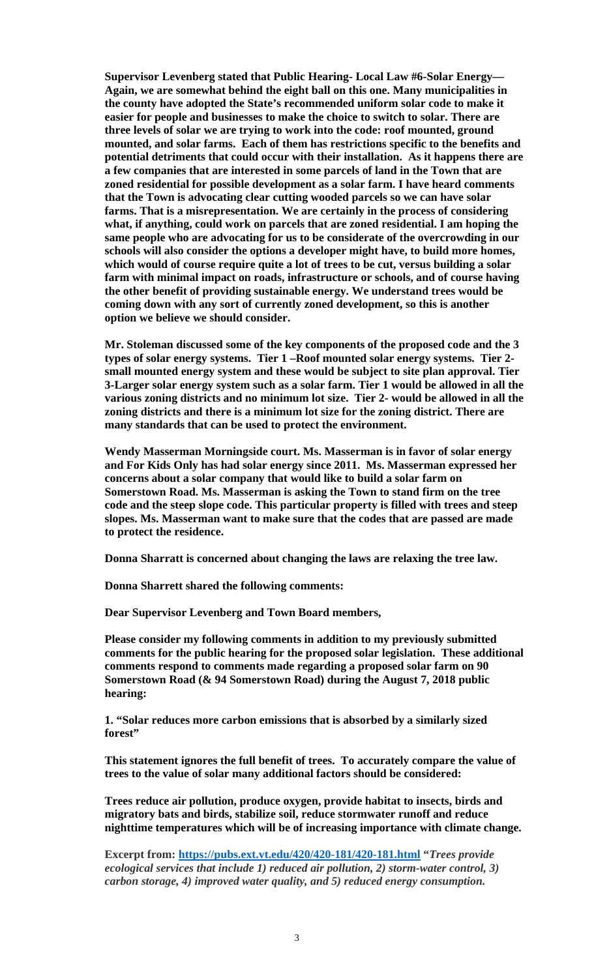**Supervisor Levenberg stated that Public Hearing- Local Law #6-Solar Energy— Again, we are somewhat behind the eight ball on this one. Many municipalities in the county have adopted the State's recommended uniform solar code to make it easier for people and businesses to make the choice to switch to solar. There are three levels of solar we are trying to work into the code: roof mounted, ground mounted, and solar farms. Each of them has restrictions specific to the benefits and potential detriments that could occur with their installation. As it happens there are a few companies that are interested in some parcels of land in the Town that are zoned residential for possible development as a solar farm. I have heard comments that the Town is advocating clear cutting wooded parcels so we can have solar farms. That is a misrepresentation. We are certainly in the process of considering what, if anything, could work on parcels that are zoned residential. I am hoping the same people who are advocating for us to be considerate of the overcrowding in our schools will also consider the options a developer might have, to build more homes, which would of course require quite a lot of trees to be cut, versus building a solar farm with minimal impact on roads, infrastructure or schools, and of course having the other benefit of providing sustainable energy. We understand trees would be coming down with any sort of currently zoned development, so this is another option we believe we should consider.** 

**Mr. Stoleman discussed some of the key components of the proposed code and the 3 types of solar energy systems. Tier 1 –Roof mounted solar energy systems. Tier 2 small mounted energy system and these would be subject to site plan approval. Tier 3-Larger solar energy system such as a solar farm. Tier 1 would be allowed in all the various zoning districts and no minimum lot size. Tier 2- would be allowed in all the zoning districts and there is a minimum lot size for the zoning district. There are many standards that can be used to protect the environment.** 

**Wendy Masserman Morningside court. Ms. Masserman is in favor of solar energy and For Kids Only has had solar energy since 2011. Ms. Masserman expressed her concerns about a solar company that would like to build a solar farm on Somerstown Road. Ms. Masserman is asking the Town to stand firm on the tree code and the steep slope code. This particular property is filled with trees and steep slopes. Ms. Masserman want to make sure that the codes that are passed are made to protect the residence.** 

**Donna Sharratt is concerned about changing the laws are relaxing the tree law.** 

**Donna Sharrett shared the following comments:** 

**Dear Supervisor Levenberg and Town Board members,** 

**Please consider my following comments in addition to my previously submitted comments for the public hearing for the proposed solar legislation. These additional comments respond to comments made regarding a proposed solar farm on 90 Somerstown Road (& 94 Somerstown Road) during the August 7, 2018 public hearing:** 

**1. "Solar reduces more carbon emissions that is absorbed by a similarly sized forest"** 

**This statement ignores the full benefit of trees. To accurately compare the value of trees to the value of solar many additional factors should be considered:** 

**Trees reduce air pollution, produce oxygen, provide habitat to insects, birds and migratory bats and birds, stabilize soil, reduce stormwater runoff and reduce nighttime temperatures which will be of increasing importance with climate change.** 

**Excerpt from: https://pubs.ext.vt.edu/420/420-181/420-181.html "***Trees provide ecological services that include 1) reduced air pollution, 2) storm-water control, 3) carbon storage, 4) improved water quality, and 5) reduced energy consumption.*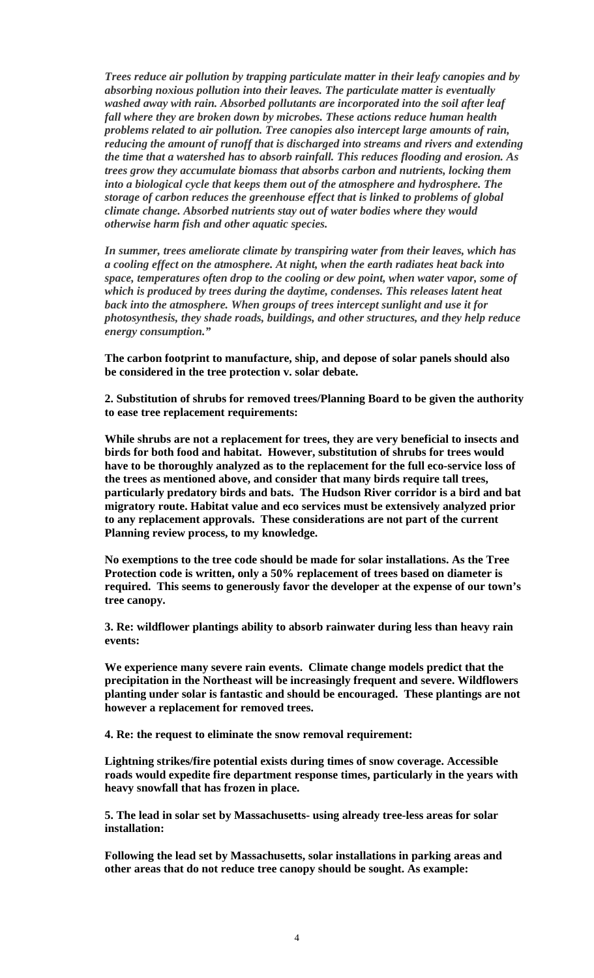*Trees reduce air pollution by trapping particulate matter in their leafy canopies and by absorbing noxious pollution into their leaves. The particulate matter is eventually washed away with rain. Absorbed pollutants are incorporated into the soil after leaf fall where they are broken down by microbes. These actions reduce human health problems related to air pollution. Tree canopies also intercept large amounts of rain, reducing the amount of runoff that is discharged into streams and rivers and extending the time that a watershed has to absorb rainfall. This reduces flooding and erosion. As trees grow they accumulate biomass that absorbs carbon and nutrients, locking them into a biological cycle that keeps them out of the atmosphere and hydrosphere. The storage of carbon reduces the greenhouse effect that is linked to problems of global climate change. Absorbed nutrients stay out of water bodies where they would otherwise harm fish and other aquatic species.*

*In summer, trees ameliorate climate by transpiring water from their leaves, which has a cooling effect on the atmosphere. At night, when the earth radiates heat back into space, temperatures often drop to the cooling or dew point, when water vapor, some of which is produced by trees during the daytime, condenses. This releases latent heat back into the atmosphere. When groups of trees intercept sunlight and use it for photosynthesis, they shade roads, buildings, and other structures, and they help reduce energy consumption."*

**The carbon footprint to manufacture, ship, and depose of solar panels should also be considered in the tree protection v. solar debate.** 

**2. Substitution of shrubs for removed trees/Planning Board to be given the authority to ease tree replacement requirements:** 

**While shrubs are not a replacement for trees, they are very beneficial to insects and birds for both food and habitat. However, substitution of shrubs for trees would have to be thoroughly analyzed as to the replacement for the full eco-service loss of the trees as mentioned above, and consider that many birds require tall trees, particularly predatory birds and bats. The Hudson River corridor is a bird and bat migratory route. Habitat value and eco services must be extensively analyzed prior to any replacement approvals. These considerations are not part of the current Planning review process, to my knowledge.** 

**No exemptions to the tree code should be made for solar installations. As the Tree Protection code is written, only a 50% replacement of trees based on diameter is required. This seems to generously favor the developer at the expense of our town's tree canopy.** 

**3. Re: wildflower plantings ability to absorb rainwater during less than heavy rain events:** 

**We experience many severe rain events. Climate change models predict that the precipitation in the Northeast will be increasingly frequent and severe. Wildflowers planting under solar is fantastic and should be encouraged. These plantings are not however a replacement for removed trees.** 

 **4. Re: the request to eliminate the snow removal requirement:** 

**Lightning strikes/fire potential exists during times of snow coverage. Accessible roads would expedite fire department response times, particularly in the years with heavy snowfall that has frozen in place.** 

**5. The lead in solar set by Massachusetts- using already tree-less areas for solar installation:** 

**Following the lead set by Massachusetts, solar installations in parking areas and other areas that do not reduce tree canopy should be sought. As example:**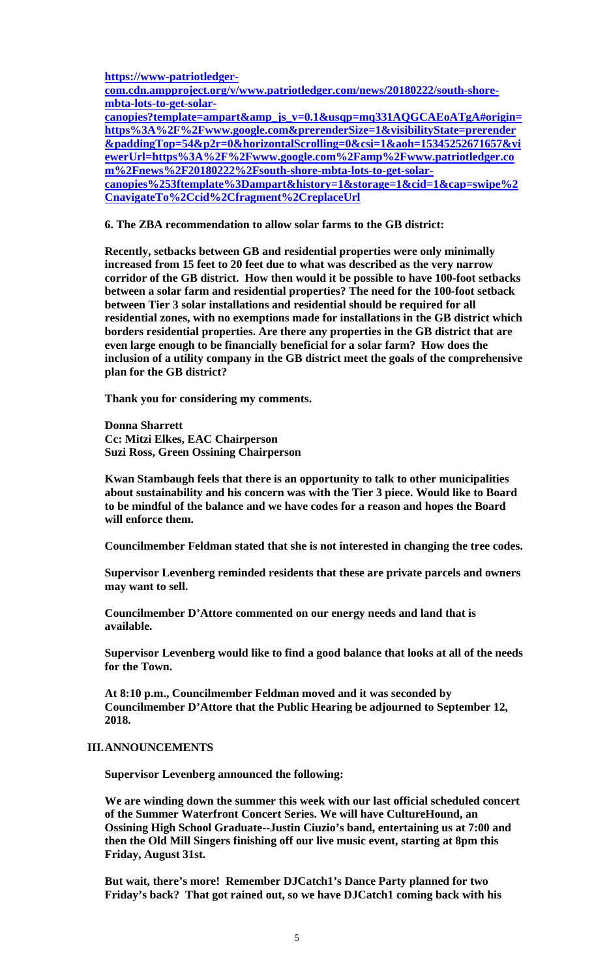**https://www-patriotledgercom.cdn.ampproject.org/v/www.patriotledger.com/news/20180222/south-shorembta-lots-to-get-solarcanopies?template=ampart&amp\_js\_v=0.1&usqp=mq331AQGCAEoATgA#origin= https%3A%2F%2Fwww.google.com&prerenderSize=1&visibilityState=prerender &paddingTop=54&p2r=0&horizontalScrolling=0&csi=1&aoh=15345252671657&vi ewerUrl=https%3A%2F%2Fwww.google.com%2Famp%2Fwww.patriotledger.co m%2Fnews%2F20180222%2Fsouth-shore-mbta-lots-to-get-solarcanopies%253ftemplate%3Dampart&history=1&storage=1&cid=1&cap=swipe%2 CnavigateTo%2Ccid%2Cfragment%2CreplaceUrl** 

 **6. The ZBA recommendation to allow solar farms to the GB district:** 

**Recently, setbacks between GB and residential properties were only minimally increased from 15 feet to 20 feet due to what was described as the very narrow corridor of the GB district. How then would it be possible to have 100-foot setbacks between a solar farm and residential properties? The need for the 100-foot setback between Tier 3 solar installations and residential should be required for all residential zones, with no exemptions made for installations in the GB district which borders residential properties. Are there any properties in the GB district that are even large enough to be financially beneficial for a solar farm? How does the inclusion of a utility company in the GB district meet the goals of the comprehensive plan for the GB district?** 

 **Thank you for considering my comments.** 

**Donna Sharrett Cc: Mitzi Elkes, EAC Chairperson Suzi Ross, Green Ossining Chairperson** 

**Kwan Stambaugh feels that there is an opportunity to talk to other municipalities about sustainability and his concern was with the Tier 3 piece. Would like to Board to be mindful of the balance and we have codes for a reason and hopes the Board will enforce them.** 

**Councilmember Feldman stated that she is not interested in changing the tree codes.** 

**Supervisor Levenberg reminded residents that these are private parcels and owners may want to sell.** 

**Councilmember D'Attore commented on our energy needs and land that is available.** 

**Supervisor Levenberg would like to find a good balance that looks at all of the needs for the Town.** 

**At 8:10 p.m., Councilmember Feldman moved and it was seconded by Councilmember D'Attore that the Public Hearing be adjourned to September 12, 2018.** 

## **III.ANNOUNCEMENTS**

**Supervisor Levenberg announced the following:** 

**We are winding down the summer this week with our last official scheduled concert of the Summer Waterfront Concert Series. We will have CultureHound, an Ossining High School Graduate--Justin Ciuzio's band, entertaining us at 7:00 and then the Old Mill Singers finishing off our live music event, starting at 8pm this Friday, August 31st.** 

**But wait, there's more! Remember DJCatch1's Dance Party planned for two Friday's back? That got rained out, so we have DJCatch1 coming back with his**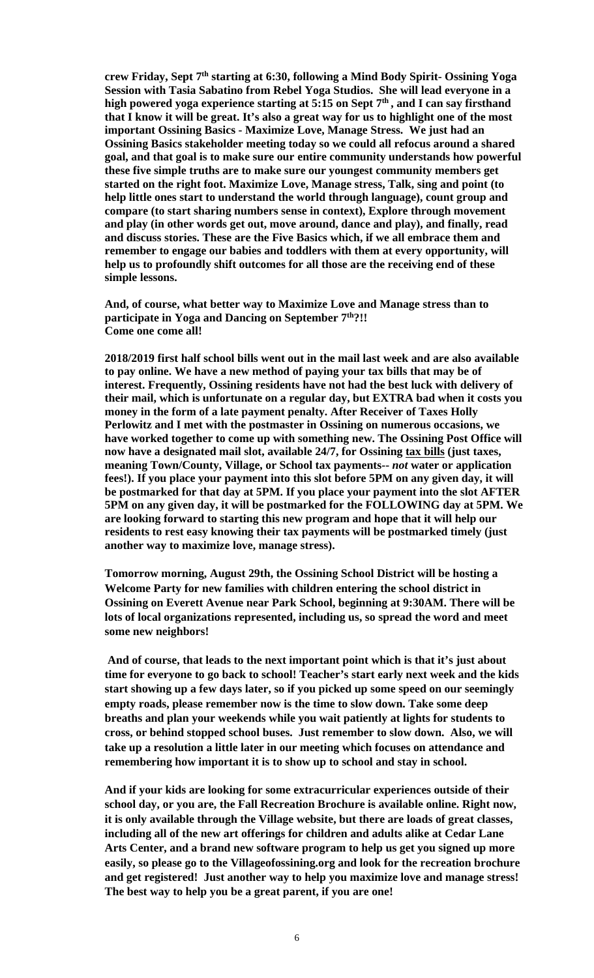**crew Friday, Sept 7th starting at 6:30, following a Mind Body Spirit- Ossining Yoga Session with Tasia Sabatino from Rebel Yoga Studios. She will lead everyone in a**  high powered yoga experience starting at 5:15 on Sept 7<sup>th</sup>, and I can say firsthand **that I know it will be great. It's also a great way for us to highlight one of the most important Ossining Basics - Maximize Love, Manage Stress. We just had an Ossining Basics stakeholder meeting today so we could all refocus around a shared goal, and that goal is to make sure our entire community understands how powerful these five simple truths are to make sure our youngest community members get started on the right foot. Maximize Love, Manage stress, Talk, sing and point (to help little ones start to understand the world through language), count group and compare (to start sharing numbers sense in context), Explore through movement and play (in other words get out, move around, dance and play), and finally, read and discuss stories. These are the Five Basics which, if we all embrace them and remember to engage our babies and toddlers with them at every opportunity, will help us to profoundly shift outcomes for all those are the receiving end of these simple lessons.** 

**And, of course, what better way to Maximize Love and Manage stress than to participate in Yoga and Dancing on September 7th?!! Come one come all!** 

**2018/2019 first half school bills went out in the mail last week and are also available to pay online. We have a new method of paying your tax bills that may be of interest. Frequently, Ossining residents have not had the best luck with delivery of their mail, which is unfortunate on a regular day, but EXTRA bad when it costs you money in the form of a late payment penalty. After Receiver of Taxes Holly Perlowitz and I met with the postmaster in Ossining on numerous occasions, we have worked together to come up with something new. The Ossining Post Office will now have a designated mail slot, available 24/7, for Ossining tax bills (just taxes, meaning Town/County, Village, or School tax payments--** *not* **water or application fees!). If you place your payment into this slot before 5PM on any given day, it will be postmarked for that day at 5PM. If you place your payment into the slot AFTER 5PM on any given day, it will be postmarked for the FOLLOWING day at 5PM. We are looking forward to starting this new program and hope that it will help our residents to rest easy knowing their tax payments will be postmarked timely (just another way to maximize love, manage stress).** 

**Tomorrow morning, August 29th, the Ossining School District will be hosting a Welcome Party for new families with children entering the school district in Ossining on Everett Avenue near Park School, beginning at 9:30AM. There will be lots of local organizations represented, including us, so spread the word and meet some new neighbors!**

**And of course, that leads to the next important point which is that it's just about time for everyone to go back to school! Teacher's start early next week and the kids start showing up a few days later, so if you picked up some speed on our seemingly empty roads, please remember now is the time to slow down. Take some deep breaths and plan your weekends while you wait patiently at lights for students to cross, or behind stopped school buses. Just remember to slow down. Also, we will take up a resolution a little later in our meeting which focuses on attendance and remembering how important it is to show up to school and stay in school.** 

**And if your kids are looking for some extracurricular experiences outside of their school day, or you are, the Fall Recreation Brochure is available online. Right now, it is only available through the Village website, but there are loads of great classes, including all of the new art offerings for children and adults alike at Cedar Lane Arts Center, and a brand new software program to help us get you signed up more easily, so please go to the Villageofossining.org and look for the recreation brochure and get registered! Just another way to help you maximize love and manage stress! The best way to help you be a great parent, if you are one!**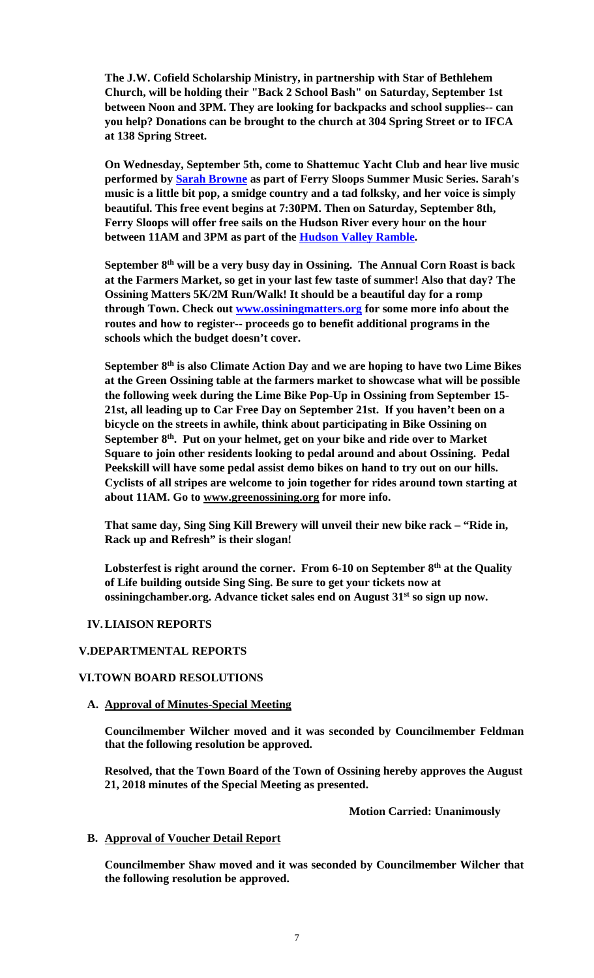**The J.W. Cofield Scholarship Ministry, in partnership with Star of Bethlehem Church, will be holding their "Back 2 School Bash" on Saturday, September 1st between Noon and 3PM. They are looking for backpacks and school supplies-- can you help? Donations can be brought to the church at 304 Spring Street or to IFCA at 138 Spring Street.** 

**On Wednesday, September 5th, come to Shattemuc Yacht Club and hear live music performed by Sarah Browne as part of Ferry Sloops Summer Music Series. Sarah's music is a little bit pop, a smidge country and a tad folksky, and her voice is simply beautiful. This free event begins at 7:30PM. Then on Saturday, September 8th, Ferry Sloops will offer free sails on the Hudson River every hour on the hour between 11AM and 3PM as part of the Hudson Valley Ramble.** 

**September 8th will be a very busy day in Ossining. The Annual Corn Roast is back at the Farmers Market, so get in your last few taste of summer! Also that day? The Ossining Matters 5K/2M Run/Walk! It should be a beautiful day for a romp through Town. Check out www.ossiningmatters.org for some more info about the routes and how to register-- proceeds go to benefit additional programs in the schools which the budget doesn't cover.** 

**September 8th is also Climate Action Day and we are hoping to have two Lime Bikes at the Green Ossining table at the farmers market to showcase what will be possible the following week during the Lime Bike Pop-Up in Ossining from September 15- 21st, all leading up to Car Free Day on September 21st. If you haven't been on a bicycle on the streets in awhile, think about participating in Bike Ossining on September 8th. Put on your helmet, get on your bike and ride over to Market Square to join other residents looking to pedal around and about Ossining. Pedal Peekskill will have some pedal assist demo bikes on hand to try out on our hills. Cyclists of all stripes are welcome to join together for rides around town starting at about 11AM. Go to www.greenossining.org for more info.** 

**That same day, Sing Sing Kill Brewery will unveil their new bike rack – "Ride in, Rack up and Refresh" is their slogan!**

Lobsterfest is right around the corner. From 6-10 on September 8<sup>th</sup> at the Quality **of Life building outside Sing Sing. Be sure to get your tickets now at ossiningchamber.org. Advance ticket sales end on August 31st so sign up now.** 

## **IV.LIAISON REPORTS**

#### **V.DEPARTMENTAL REPORTS**

#### **VI.TOWN BOARD RESOLUTIONS**

#### **A. Approval of Minutes-Special Meeting**

**Councilmember Wilcher moved and it was seconded by Councilmember Feldman that the following resolution be approved.** 

**Resolved, that the Town Board of the Town of Ossining hereby approves the August 21, 2018 minutes of the Special Meeting as presented.** 

 **Motion Carried: Unanimously** 

#### **B. Approval of Voucher Detail Report**

**Councilmember Shaw moved and it was seconded by Councilmember Wilcher that the following resolution be approved.**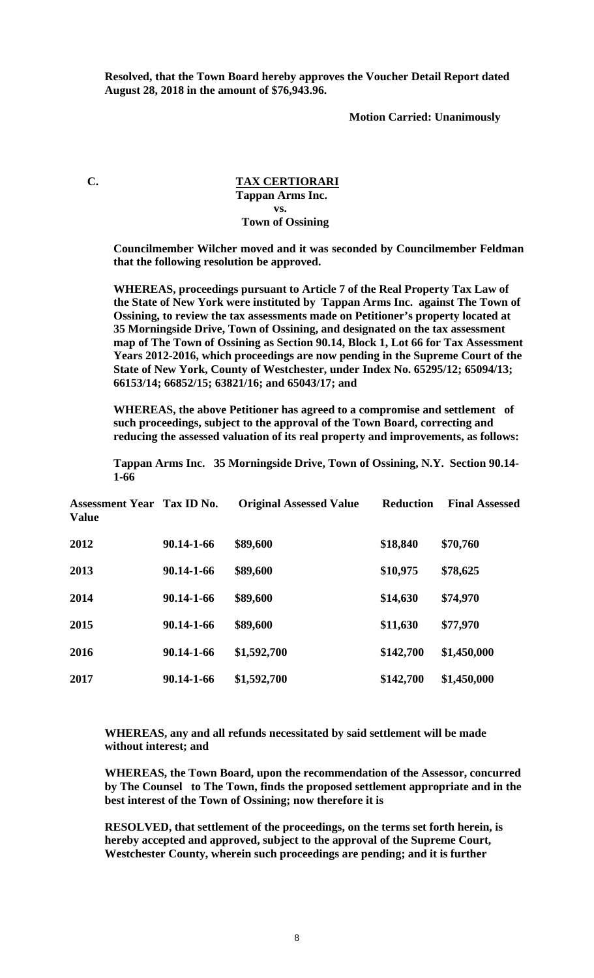**Resolved, that the Town Board hereby approves the Voucher Detail Report dated August 28, 2018 in the amount of \$76,943.96.** 

 **Motion Carried: Unanimously** 

### **C. TAX CERTIORARI Tappan Arms Inc. vs. Town of Ossining**

**Councilmember Wilcher moved and it was seconded by Councilmember Feldman that the following resolution be approved.** 

**WHEREAS, proceedings pursuant to Article 7 of the Real Property Tax Law of the State of New York were instituted by Tappan Arms Inc. against The Town of Ossining, to review the tax assessments made on Petitioner's property located at 35 Morningside Drive, Town of Ossining, and designated on the tax assessment map of The Town of Ossining as Section 90.14, Block 1, Lot 66 for Tax Assessment Years 2012-2016, which proceedings are now pending in the Supreme Court of the State of New York, County of Westchester, under Index No. 65295/12; 65094/13; 66153/14; 66852/15; 63821/16; and 65043/17; and** 

**WHEREAS, the above Petitioner has agreed to a compromise and settlement of such proceedings, subject to the approval of the Town Board, correcting and reducing the assessed valuation of its real property and improvements, as follows:** 

**Tappan Arms Inc. 35 Morningside Drive, Town of Ossining, N.Y. Section 90.14- 1-66** 

| <b>Assessment Year Tax ID No.</b><br><b>Value</b> |            | <b>Original Assessed Value</b> | <b>Reduction</b> | <b>Final Assessed</b> |
|---------------------------------------------------|------------|--------------------------------|------------------|-----------------------|
| 2012                                              | 90.14-1-66 | \$89,600                       | \$18,840         | \$70,760              |
| 2013                                              | 90.14-1-66 | \$89,600                       | \$10,975         | \$78,625              |
| 2014                                              | 90.14-1-66 | \$89,600                       | \$14,630         | \$74,970              |
| 2015                                              | 90.14-1-66 | \$89,600                       | \$11,630         | \$77,970              |
| 2016                                              | 90.14-1-66 | \$1,592,700                    | \$142,700        | \$1,450,000           |
| 2017                                              | 90.14-1-66 | \$1,592,700                    | \$142,700        | \$1,450,000           |

### **WHEREAS, any and all refunds necessitated by said settlement will be made without interest; and**

**WHEREAS, the Town Board, upon the recommendation of the Assessor, concurred by The Counsel to The Town, finds the proposed settlement appropriate and in the best interest of the Town of Ossining; now therefore it is** 

**RESOLVED, that settlement of the proceedings, on the terms set forth herein, is hereby accepted and approved, subject to the approval of the Supreme Court, Westchester County, wherein such proceedings are pending; and it is further**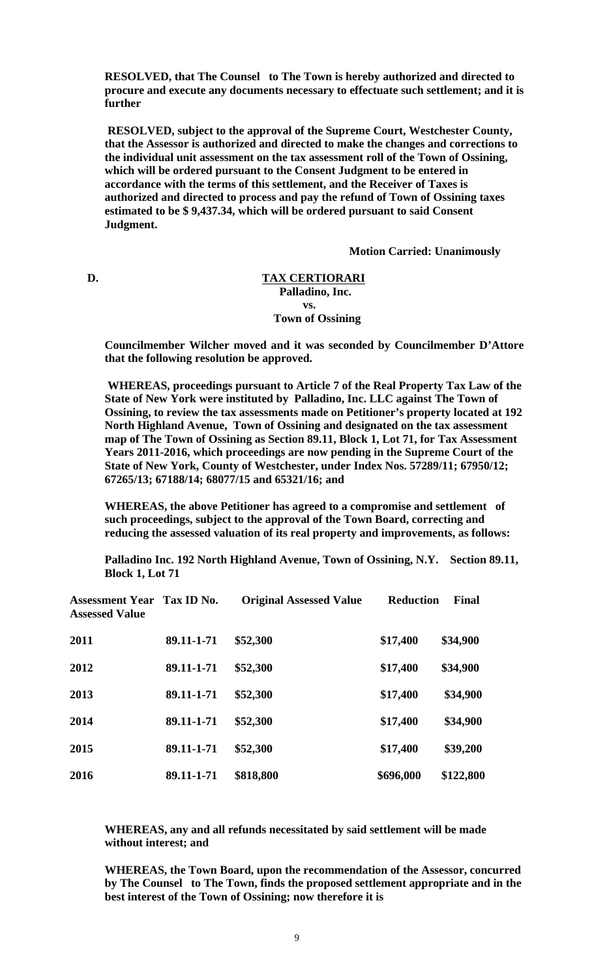**RESOLVED, that The Counsel to The Town is hereby authorized and directed to procure and execute any documents necessary to effectuate such settlement; and it is further** 

**RESOLVED, subject to the approval of the Supreme Court, Westchester County, that the Assessor is authorized and directed to make the changes and corrections to the individual unit assessment on the tax assessment roll of the Town of Ossining, which will be ordered pursuant to the Consent Judgment to be entered in accordance with the terms of this settlement, and the Receiver of Taxes is authorized and directed to process and pay the refund of Town of Ossining taxes estimated to be \$ 9,437.34, which will be ordered pursuant to said Consent Judgment.** 

 **Motion Carried: Unanimously** 

#### **D. TAX CERTIORARI Palladino, Inc.**

 **vs. Town of Ossining** 

> **Councilmember Wilcher moved and it was seconded by Councilmember D'Attore that the following resolution be approved.**

> **WHEREAS, proceedings pursuant to Article 7 of the Real Property Tax Law of the State of New York were instituted by Palladino, Inc. LLC against The Town of Ossining, to review the tax assessments made on Petitioner's property located at 192 North Highland Avenue, Town of Ossining and designated on the tax assessment map of The Town of Ossining as Section 89.11, Block 1, Lot 71, for Tax Assessment Years 2011-2016, which proceedings are now pending in the Supreme Court of the State of New York, County of Westchester, under Index Nos. 57289/11; 67950/12; 67265/13; 67188/14; 68077/15 and 65321/16; and**

**WHEREAS, the above Petitioner has agreed to a compromise and settlement of such proceedings, subject to the approval of the Town Board, correcting and reducing the assessed valuation of its real property and improvements, as follows:** 

**Palladino Inc. 192 North Highland Avenue, Town of Ossining, N.Y. Section 89.11, Block 1, Lot 71** 

| <b>Assessment Year Tax ID No.</b><br><b>Assessed Value</b> |            | <b>Original Assessed Value</b> | <b>Reduction</b> | Final     |
|------------------------------------------------------------|------------|--------------------------------|------------------|-----------|
| 2011                                                       | 89.11-1-71 | \$52,300                       | \$17,400         | \$34,900  |
| 2012                                                       | 89.11-1-71 | \$52,300                       | \$17,400         | \$34,900  |
| 2013                                                       | 89.11-1-71 | \$52,300                       | \$17,400         | \$34,900  |
| 2014                                                       | 89.11-1-71 | \$52,300                       | \$17,400         | \$34,900  |
| 2015                                                       | 89.11-1-71 | \$52,300                       | \$17,400         | \$39,200  |
| 2016                                                       | 89.11-1-71 | \$818,800                      | \$696,000        | \$122,800 |

**WHEREAS, any and all refunds necessitated by said settlement will be made without interest; and** 

**WHEREAS, the Town Board, upon the recommendation of the Assessor, concurred by The Counsel to The Town, finds the proposed settlement appropriate and in the best interest of the Town of Ossining; now therefore it is**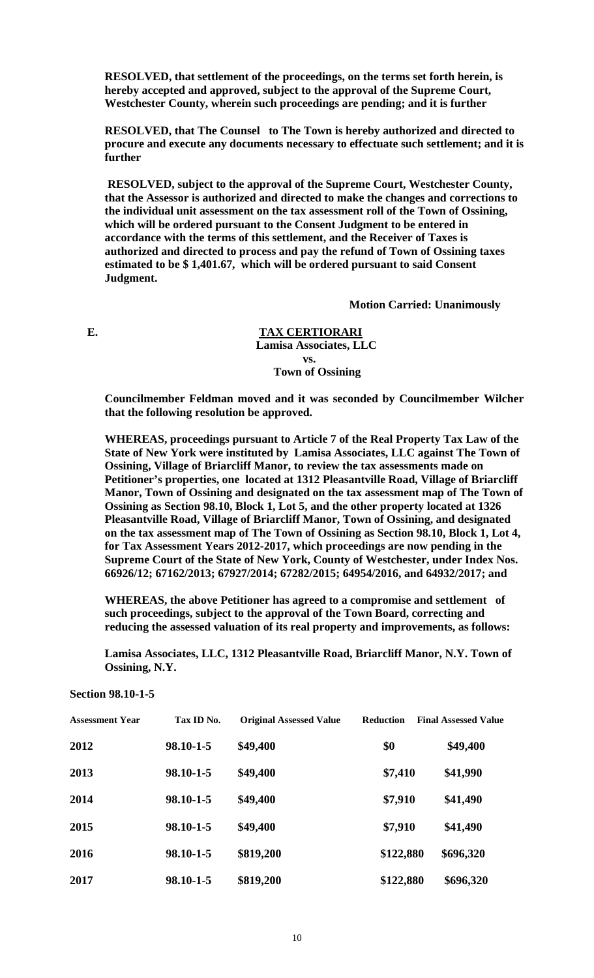**RESOLVED, that settlement of the proceedings, on the terms set forth herein, is hereby accepted and approved, subject to the approval of the Supreme Court, Westchester County, wherein such proceedings are pending; and it is further** 

**RESOLVED, that The Counsel to The Town is hereby authorized and directed to procure and execute any documents necessary to effectuate such settlement; and it is further** 

**RESOLVED, subject to the approval of the Supreme Court, Westchester County, that the Assessor is authorized and directed to make the changes and corrections to the individual unit assessment on the tax assessment roll of the Town of Ossining, which will be ordered pursuant to the Consent Judgment to be entered in accordance with the terms of this settlement, and the Receiver of Taxes is authorized and directed to process and pay the refund of Town of Ossining taxes estimated to be \$ 1,401.67, which will be ordered pursuant to said Consent Judgment.** 

 **Motion Carried: Unanimously**

**E. TAX CERTIORARI Lamisa Associates, LLC vs. Town of Ossining** 

> **Councilmember Feldman moved and it was seconded by Councilmember Wilcher that the following resolution be approved.**

> **WHEREAS, proceedings pursuant to Article 7 of the Real Property Tax Law of the State of New York were instituted by Lamisa Associates, LLC against The Town of Ossining, Village of Briarcliff Manor, to review the tax assessments made on Petitioner's properties, one located at 1312 Pleasantville Road, Village of Briarcliff Manor, Town of Ossining and designated on the tax assessment map of The Town of Ossining as Section 98.10, Block 1, Lot 5, and the other property located at 1326 Pleasantville Road, Village of Briarcliff Manor, Town of Ossining, and designated on the tax assessment map of The Town of Ossining as Section 98.10, Block 1, Lot 4, for Tax Assessment Years 2012-2017, which proceedings are now pending in the Supreme Court of the State of New York, County of Westchester, under Index Nos. 66926/12; 67162/2013; 67927/2014; 67282/2015; 64954/2016, and 64932/2017; and**

**WHEREAS, the above Petitioner has agreed to a compromise and settlement of such proceedings, subject to the approval of the Town Board, correcting and reducing the assessed valuation of its real property and improvements, as follows:** 

**Lamisa Associates, LLC, 1312 Pleasantville Road, Briarcliff Manor, N.Y. Town of Ossining, N.Y.** 

**Section 98.10-1-5** 

| <b>Assessment Year</b> | Tax ID No. | <b>Original Assessed Value</b> | <b>Reduction</b> | <b>Final Assessed Value</b> |
|------------------------|------------|--------------------------------|------------------|-----------------------------|
| 2012                   | 98.10-1-5  | \$49,400                       | \$0              | \$49,400                    |
| 2013                   | 98.10-1-5  | \$49,400                       | \$7,410          | \$41,990                    |
| 2014                   | 98.10-1-5  | \$49,400                       | \$7,910          | \$41,490                    |
| 2015                   | 98.10-1-5  | \$49,400                       | \$7,910          | \$41,490                    |
| 2016                   | 98.10-1-5  | \$819,200                      | \$122,880        | \$696,320                   |
| 2017                   | 98.10-1-5  | \$819,200                      | \$122,880        | \$696,320                   |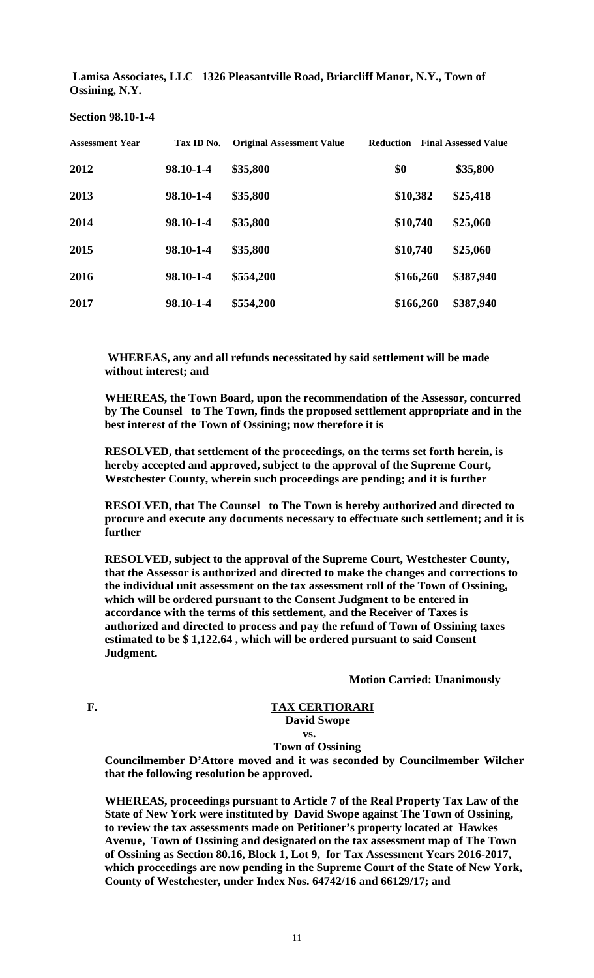**Lamisa Associates, LLC 1326 Pleasantville Road, Briarcliff Manor, N.Y., Town of Ossining, N.Y.** 

| <b>Assessment Year</b> | Tax ID No. | <b>Original Assessment Value</b> | <b>Reduction</b> | <b>Final Assessed Value</b> |
|------------------------|------------|----------------------------------|------------------|-----------------------------|
| 2012                   | 98.10-1-4  | \$35,800                         | \$0              | \$35,800                    |
| 2013                   | 98.10-1-4  | \$35,800                         | \$10,382         | \$25,418                    |
| 2014                   | 98.10-1-4  | \$35,800                         | \$10,740         | \$25,060                    |
| 2015                   | 98.10-1-4  | \$35,800                         | \$10,740         | \$25,060                    |
| 2016                   | 98.10-1-4  | \$554,200                        | \$166,260        | \$387,940                   |
| 2017                   | 98.10-1-4  | \$554,200                        | \$166,260        | \$387,940                   |

**Section 98.10-1-4** 

 **WHEREAS, any and all refunds necessitated by said settlement will be made without interest; and** 

**WHEREAS, the Town Board, upon the recommendation of the Assessor, concurred by The Counsel to The Town, finds the proposed settlement appropriate and in the best interest of the Town of Ossining; now therefore it is** 

**RESOLVED, that settlement of the proceedings, on the terms set forth herein, is hereby accepted and approved, subject to the approval of the Supreme Court, Westchester County, wherein such proceedings are pending; and it is further** 

**RESOLVED, that The Counsel to The Town is hereby authorized and directed to procure and execute any documents necessary to effectuate such settlement; and it is further** 

**RESOLVED, subject to the approval of the Supreme Court, Westchester County, that the Assessor is authorized and directed to make the changes and corrections to the individual unit assessment on the tax assessment roll of the Town of Ossining, which will be ordered pursuant to the Consent Judgment to be entered in accordance with the terms of this settlement, and the Receiver of Taxes is authorized and directed to process and pay the refund of Town of Ossining taxes estimated to be \$ 1,122.64 , which will be ordered pursuant to said Consent Judgment.** 

 **Motion Carried: Unanimously**

# F. TAX CERTIORARI  **David Swope**

#### **vs. Town of Ossining**

**Councilmember D'Attore moved and it was seconded by Councilmember Wilcher that the following resolution be approved.** 

**WHEREAS, proceedings pursuant to Article 7 of the Real Property Tax Law of the State of New York were instituted by David Swope against The Town of Ossining, to review the tax assessments made on Petitioner's property located at Hawkes Avenue, Town of Ossining and designated on the tax assessment map of The Town of Ossining as Section 80.16, Block 1, Lot 9, for Tax Assessment Years 2016-2017, which proceedings are now pending in the Supreme Court of the State of New York, County of Westchester, under Index Nos. 64742/16 and 66129/17; and**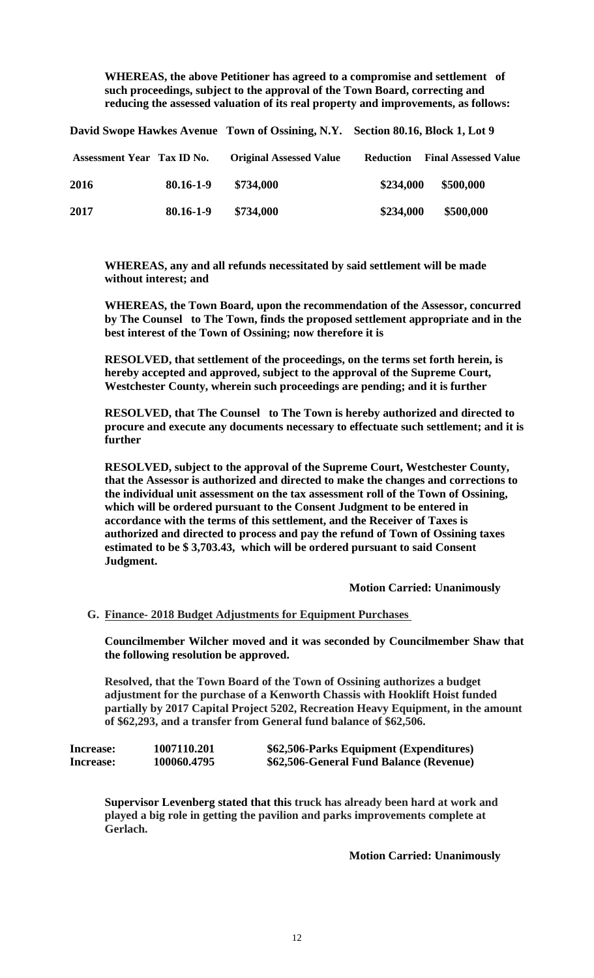**WHEREAS, the above Petitioner has agreed to a compromise and settlement of such proceedings, subject to the approval of the Town Board, correcting and reducing the assessed valuation of its real property and improvements, as follows:** 

**David Swope Hawkes Avenue Town of Ossining, N.Y. Section 80.16, Block 1, Lot 9** 

| <b>Assessment Year Tax ID No.</b> |           | <b>Original Assessed Value</b> | <b>Reduction</b> | <b>Final Assessed Value</b> |
|-----------------------------------|-----------|--------------------------------|------------------|-----------------------------|
| 2016                              | 80.16-1-9 | \$734,000                      | \$234,000        | \$500,000                   |
| 2017                              | 80.16-1-9 | \$734,000                      | \$234,000        | \$500,000                   |

**WHEREAS, any and all refunds necessitated by said settlement will be made without interest; and** 

**WHEREAS, the Town Board, upon the recommendation of the Assessor, concurred by The Counsel to The Town, finds the proposed settlement appropriate and in the best interest of the Town of Ossining; now therefore it is** 

**RESOLVED, that settlement of the proceedings, on the terms set forth herein, is hereby accepted and approved, subject to the approval of the Supreme Court, Westchester County, wherein such proceedings are pending; and it is further** 

**RESOLVED, that The Counsel to The Town is hereby authorized and directed to procure and execute any documents necessary to effectuate such settlement; and it is further** 

**RESOLVED, subject to the approval of the Supreme Court, Westchester County, that the Assessor is authorized and directed to make the changes and corrections to the individual unit assessment on the tax assessment roll of the Town of Ossining, which will be ordered pursuant to the Consent Judgment to be entered in accordance with the terms of this settlement, and the Receiver of Taxes is authorized and directed to process and pay the refund of Town of Ossining taxes estimated to be \$ 3,703.43, which will be ordered pursuant to said Consent Judgment.** 

 **Motion Carried: Unanimously**

## **G. Finance- 2018 Budget Adjustments for Equipment Purchases**

**Councilmember Wilcher moved and it was seconded by Councilmember Shaw that the following resolution be approved.** 

**Resolved, that the Town Board of the Town of Ossining authorizes a budget adjustment for the purchase of a Kenworth Chassis with Hooklift Hoist funded partially by 2017 Capital Project 5202, Recreation Heavy Equipment, in the amount of \$62,293, and a transfer from General fund balance of \$62,506.** 

| Increase: | 1007110.201 | \$62,506-Parks Equipment (Expenditures) |
|-----------|-------------|-----------------------------------------|
| Increase: | 100060.4795 | \$62,506-General Fund Balance (Revenue) |

**Supervisor Levenberg stated that this truck has already been hard at work and played a big role in getting the pavilion and parks improvements complete at Gerlach.** 

 **Motion Carried: Unanimously**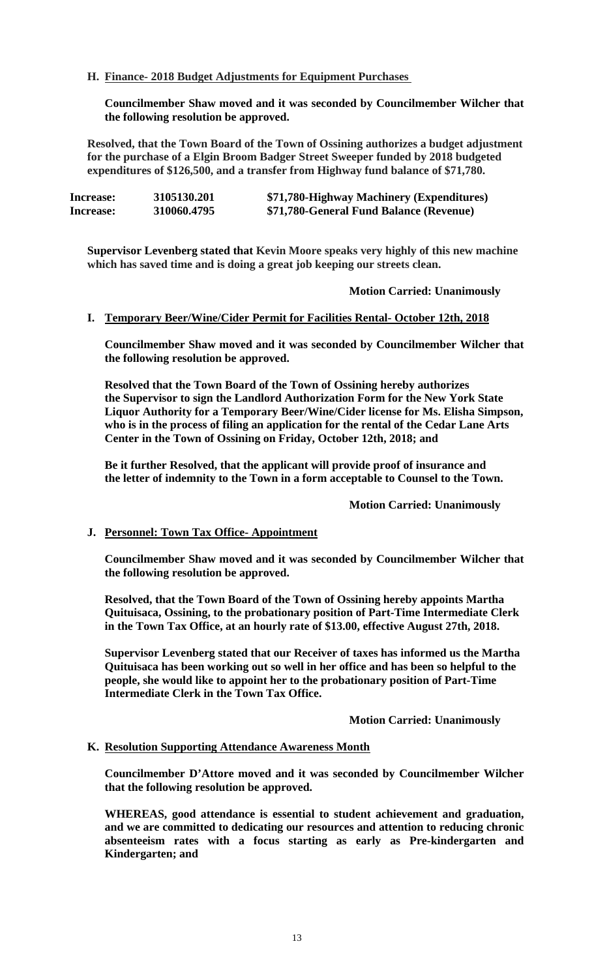# **H. Finance- 2018 Budget Adjustments for Equipment Purchases**

**Councilmember Shaw moved and it was seconded by Councilmember Wilcher that the following resolution be approved.** 

**Resolved, that the Town Board of the Town of Ossining authorizes a budget adjustment for the purchase of a Elgin Broom Badger Street Sweeper funded by 2018 budgeted expenditures of \$126,500, and a transfer from Highway fund balance of \$71,780.** 

| Increase: | 3105130.201 | \$71,780-Highway Machinery (Expenditures) |
|-----------|-------------|-------------------------------------------|
| Increase: | 310060.4795 | \$71,780-General Fund Balance (Revenue)   |

**Supervisor Levenberg stated that Kevin Moore speaks very highly of this new machine which has saved time and is doing a great job keeping our streets clean.** 

 **Motion Carried: Unanimously**

## **I. Temporary Beer/Wine/Cider Permit for Facilities Rental- October 12th, 2018**

**Councilmember Shaw moved and it was seconded by Councilmember Wilcher that the following resolution be approved.** 

**Resolved that the Town Board of the Town of Ossining hereby authorizes the Supervisor to sign the Landlord Authorization Form for the New York State Liquor Authority for a Temporary Beer/Wine/Cider license for Ms. Elisha Simpson, who is in the process of filing an application for the rental of the Cedar Lane Arts Center in the Town of Ossining on Friday, October 12th, 2018; and** 

**Be it further Resolved, that the applicant will provide proof of insurance and the letter of indemnity to the Town in a form acceptable to Counsel to the Town.** 

#### **Motion Carried: Unanimously**

# **J. Personnel: Town Tax Office- Appointment**

**Councilmember Shaw moved and it was seconded by Councilmember Wilcher that the following resolution be approved.** 

**Resolved, that the Town Board of the Town of Ossining hereby appoints Martha Quituisaca, Ossining, to the probationary position of Part-Time Intermediate Clerk in the Town Tax Office, at an hourly rate of \$13.00, effective August 27th, 2018.** 

**Supervisor Levenberg stated that our Receiver of taxes has informed us the Martha Quituisaca has been working out so well in her office and has been so helpful to the people, she would like to appoint her to the probationary position of Part-Time Intermediate Clerk in the Town Tax Office.** 

 **Motion Carried: Unanimously** 

#### **K. Resolution Supporting Attendance Awareness Month**

**Councilmember D'Attore moved and it was seconded by Councilmember Wilcher that the following resolution be approved.** 

**WHEREAS, good attendance is essential to student achievement and graduation, and we are committed to dedicating our resources and attention to reducing chronic absenteeism rates with a focus starting as early as Pre-kindergarten and Kindergarten; and**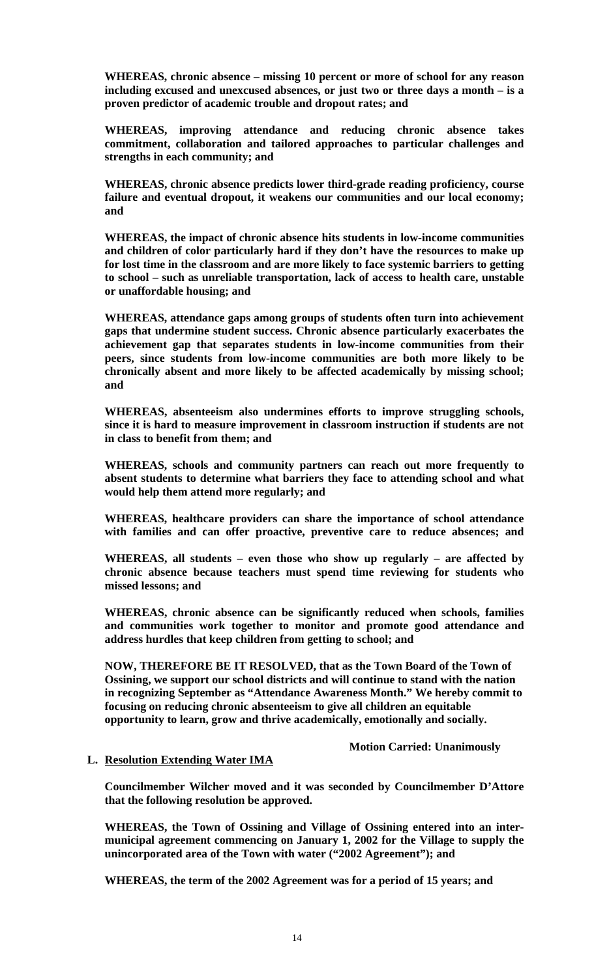**WHEREAS, chronic absence – missing 10 percent or more of school for any reason including excused and unexcused absences, or just two or three days a month – is a proven predictor of academic trouble and dropout rates; and** 

**WHEREAS, improving attendance and reducing chronic absence takes commitment, collaboration and tailored approaches to particular challenges and strengths in each community; and** 

**WHEREAS, chronic absence predicts lower third-grade reading proficiency, course failure and eventual dropout, it weakens our communities and our local economy; and** 

**WHEREAS, the impact of chronic absence hits students in low-income communities and children of color particularly hard if they don't have the resources to make up for lost time in the classroom and are more likely to face systemic barriers to getting to school – such as unreliable transportation, lack of access to health care, unstable or unaffordable housing; and** 

**WHEREAS, attendance gaps among groups of students often turn into achievement gaps that undermine student success. Chronic absence particularly exacerbates the achievement gap that separates students in low-income communities from their peers, since students from low-income communities are both more likely to be chronically absent and more likely to be affected academically by missing school; and** 

**WHEREAS, absenteeism also undermines efforts to improve struggling schools, since it is hard to measure improvement in classroom instruction if students are not in class to benefit from them; and** 

**WHEREAS, schools and community partners can reach out more frequently to absent students to determine what barriers they face to attending school and what would help them attend more regularly; and** 

**WHEREAS, healthcare providers can share the importance of school attendance with families and can offer proactive, preventive care to reduce absences; and** 

**WHEREAS, all students – even those who show up regularly – are affected by chronic absence because teachers must spend time reviewing for students who missed lessons; and** 

**WHEREAS, chronic absence can be significantly reduced when schools, families and communities work together to monitor and promote good attendance and address hurdles that keep children from getting to school; and** 

**NOW, THEREFORE BE IT RESOLVED, that as the Town Board of the Town of Ossining, we support our school districts and will continue to stand with the nation in recognizing September as "Attendance Awareness Month." We hereby commit to focusing on reducing chronic absenteeism to give all children an equitable opportunity to learn, grow and thrive academically, emotionally and socially.** 

 **Motion Carried: Unanimously** 

# **L. Resolution Extending Water IMA**

**Councilmember Wilcher moved and it was seconded by Councilmember D'Attore that the following resolution be approved.** 

**WHEREAS, the Town of Ossining and Village of Ossining entered into an intermunicipal agreement commencing on January 1, 2002 for the Village to supply the unincorporated area of the Town with water ("2002 Agreement"); and** 

**WHEREAS, the term of the 2002 Agreement was for a period of 15 years; and**